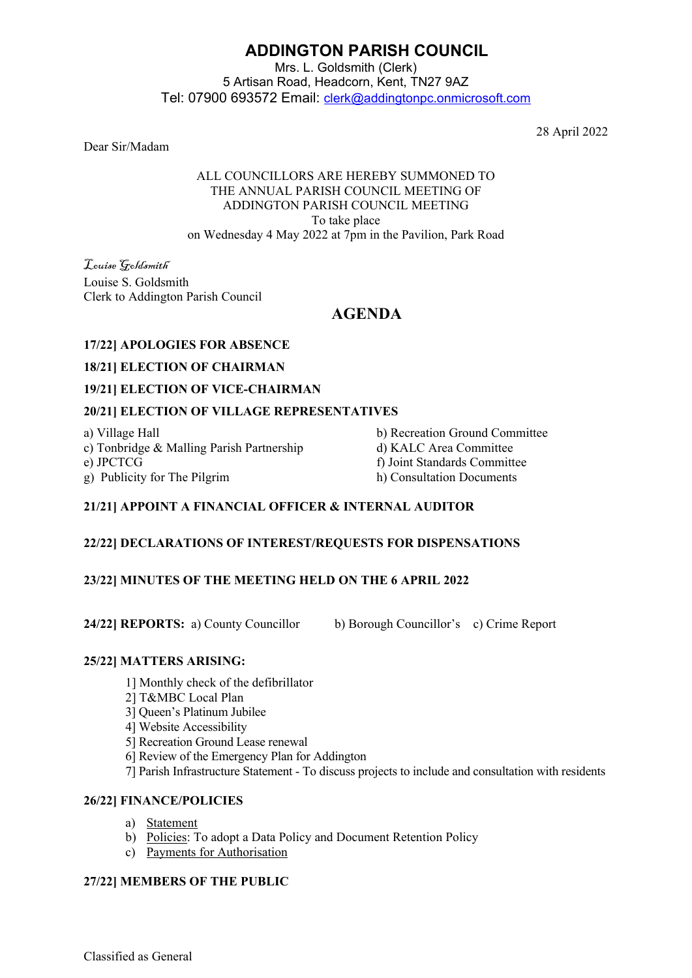# **ADDINGTON PARISH COUNCIL**

Mrs. L. Goldsmith (Clerk) 5 Artisan Road, Headcorn, Kent, TN27 9AZ Tel: 07900 693572 Email: [clerk@addingtonpc.onmicrosoft.com](about:blank)

Dear Sir/Madam

28 April 2022

#### ALL COUNCILLORS ARE HEREBY SUMMONED TO THE ANNUAL PARISH COUNCIL MEETING OF ADDINGTON PARISH COUNCIL MEETING To take place on Wednesday 4 May 2022 at 7pm in the Pavilion, Park Road

Louise Goldsmith Louise S. Goldsmith Clerk to Addington Parish Council

# **AGENDA**

# **17/22] APOLOGIES FOR ABSENCE**

#### **18/21] ELECTION OF CHAIRMAN**

#### **19/21] ELECTION OF VICE-CHAIRMAN**

# **20/21] ELECTION OF VILLAGE REPRESENTATIVES**

a) Village Hall b) Recreation Ground Committee c) Tonbridge & Malling Parish Partnership d) KALC Area Committee e) JPCTCG f) Joint Standards Committee

g) Publicity for The Pilgrim h) Consultation Documents

# **21/21] APPOINT A FINANCIAL OFFICER & INTERNAL AUDITOR**

# **22/22] DECLARATIONS OF INTEREST/REQUESTS FOR DISPENSATIONS**

# **23/22] MINUTES OF THE MEETING HELD ON THE 6 APRIL 2022**

**24/22] REPORTS:** a) County Councillor b) Borough Councillor's c) Crime Report

#### **25/22] MATTERS ARISING:**

- 1] Monthly check of the defibrillator
- 2] T&MBC Local Plan
- 3] Queen's Platinum Jubilee
- 4] Website Accessibility
- 5] Recreation Ground Lease renewal
- 6] Review of the Emergency Plan for Addington
- 7] Parish Infrastructure Statement To discuss projects to include and consultation with residents

# **26/22] FINANCE/POLICIES**

- a) Statement
- b) Policies: To adopt a Data Policy and Document Retention Policy
- c) Payments for Authorisation

# **27/22] MEMBERS OF THE PUBLIC**